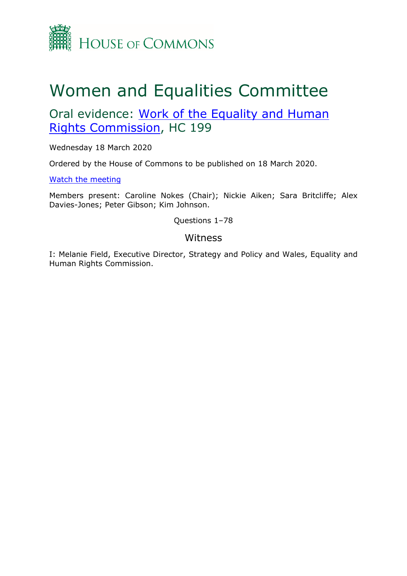

# Women and Equalities Committee

## Oral evidence: [Work](https://committees.parliament.uk/work/123/work-of-the-equality-and-human-rights-commission/) [of](https://committees.parliament.uk/work/123/work-of-the-equality-and-human-rights-commission/) [the](https://committees.parliament.uk/work/123/work-of-the-equality-and-human-rights-commission/) [Equality](https://committees.parliament.uk/work/123/work-of-the-equality-and-human-rights-commission/) [and](https://committees.parliament.uk/work/123/work-of-the-equality-and-human-rights-commission/) [Human](https://committees.parliament.uk/work/123/work-of-the-equality-and-human-rights-commission/) [Rights](https://committees.parliament.uk/work/123/work-of-the-equality-and-human-rights-commission/) [Commission,](https://committees.parliament.uk/work/123/work-of-the-equality-and-human-rights-commission/) HC 199

Wednesday 18 March 2020

Ordered by the House of Commons to be published on 18 March 2020.

[Watch](https://parliamentlive.tv/Event/Index/d4d94988-ccc1-4d98-84e9-46f510ef24eb) [the](https://parliamentlive.tv/Event/Index/d4d94988-ccc1-4d98-84e9-46f510ef24eb) [meeting](https://parliamentlive.tv/Event/Index/d4d94988-ccc1-4d98-84e9-46f510ef24eb)

Members present: Caroline Nokes (Chair); Nickie Aiken; Sara Britcliffe; Alex Davies-Jones; Peter Gibson; Kim Johnson.

Questions 1–78

### Witness

I: Melanie Field, Executive Director, Strategy and Policy and Wales, Equality and Human Rights Commission.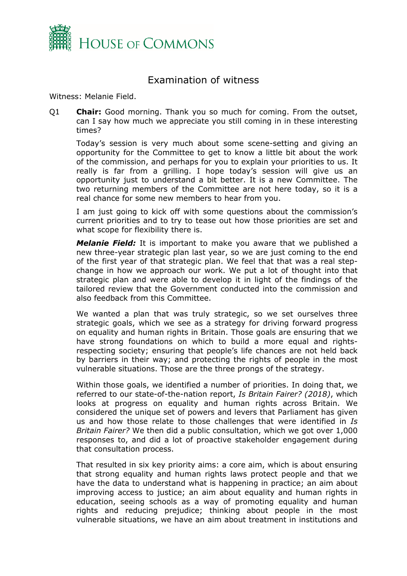

## Examination of witness

Witness: Melanie Field.

Q1 **Chair:** Good morning. Thank you so much for coming. From the outset, can I say how much we appreciate you still coming in in these interesting times?

Today's session is very much about some scene-setting and giving an opportunity for the Committee to get to know a little bit about the work of the commission, and perhaps for you to explain your priorities to us. It really is far from a grilling. I hope today's session will give us an opportunity just to understand a bit better. It is a new Committee. The two returning members of the Committee are not here today, so it is a real chance for some new members to hear from you.

I am just going to kick off with some questions about the commission's current priorities and to try to tease out how those priorities are set and what scope for flexibility there is.

*Melanie Field:* It is important to make you aware that we published a new three-year strategic plan last year, so we are just coming to the end of the first year of that strategic plan. We feel that that was a real stepchange in how we approach our work. We put a lot of thought into that strategic plan and were able to develop it in light of the findings of the tailored review that the Government conducted into the commission and also feedback from this Committee.

We wanted a plan that was truly strategic, so we set ourselves three strategic goals, which we see as a strategy for driving forward progress on equality and human rights in Britain. Those goals are ensuring that we have strong foundations on which to build a more equal and rightsrespecting society; ensuring that people's life chances are not held back by barriers in their way; and protecting the rights of people in the most vulnerable situations. Those are the three prongs of the strategy.

Within those goals, we identified a number of priorities. In doing that, we referred to our state-of-the-nation report, *Is Britain Fairer? (2018)*, which looks at progress on equality and human rights across Britain. We considered the unique set of powers and levers that Parliament has given us and how those relate to those challenges that were identified in *Is Britain Fairer?* We then did a public consultation, which we got over 1,000 responses to, and did a lot of proactive stakeholder engagement during that consultation process.

That resulted in six key priority aims: a core aim, which is about ensuring that strong equality and human rights laws protect people and that we have the data to understand what is happening in practice; an aim about improving access to justice; an aim about equality and human rights in education, seeing schools as a way of promoting equality and human rights and reducing prejudice; thinking about people in the most vulnerable situations, we have an aim about treatment in institutions and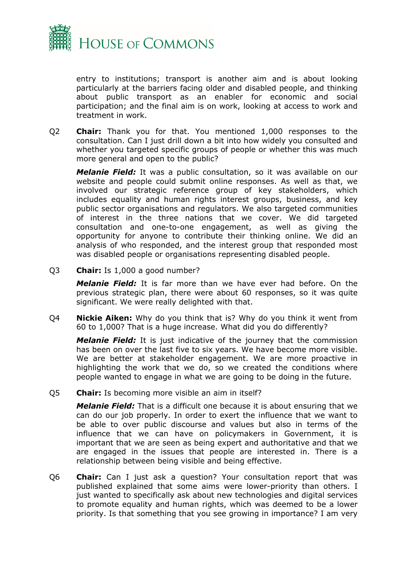

entry to institutions; transport is another aim and is about looking particularly at the barriers facing older and disabled people, and thinking about public transport as an enabler for economic and social participation; and the final aim is on work, looking at access to work and treatment in work.

Q2 **Chair:** Thank you for that. You mentioned 1,000 responses to the consultation. Can I just drill down a bit into how widely you consulted and whether you targeted specific groups of people or whether this was much more general and open to the public?

*Melanie Field:* It was a public consultation, so it was available on our website and people could submit online responses. As well as that, we involved our strategic reference group of key stakeholders, which includes equality and human rights interest groups, business, and key public sector organisations and regulators. We also targeted communities of interest in the three nations that we cover. We did targeted consultation and one-to-one engagement, as well as giving the opportunity for anyone to contribute their thinking online. We did an analysis of who responded, and the interest group that responded most was disabled people or organisations representing disabled people.

Q3 **Chair:** Is 1,000 a good number?

*Melanie Field:* It is far more than we have ever had before. On the previous strategic plan, there were about 60 responses, so it was quite significant. We were really delighted with that.

Q4 **Nickie Aiken:** Why do you think that is? Why do you think it went from 60 to 1,000? That is a huge increase. What did you do differently?

*Melanie Field:* It is just indicative of the journey that the commission has been on over the last five to six years. We have become more visible. We are better at stakeholder engagement. We are more proactive in highlighting the work that we do, so we created the conditions where people wanted to engage in what we are going to be doing in the future.

Q5 **Chair:** Is becoming more visible an aim in itself?

*Melanie Field:* That is a difficult one because it is about ensuring that we can do our job properly. In order to exert the influence that we want to be able to over public discourse and values but also in terms of the influence that we can have on policymakers in Government, it is important that we are seen as being expert and authoritative and that we are engaged in the issues that people are interested in. There is a relationship between being visible and being effective.

Q6 **Chair:** Can I just ask a question? Your consultation report that was published explained that some aims were lower-priority than others. I just wanted to specifically ask about new technologies and digital services to promote equality and human rights, which was deemed to be a lower priority. Is that something that you see growing in importance? I am very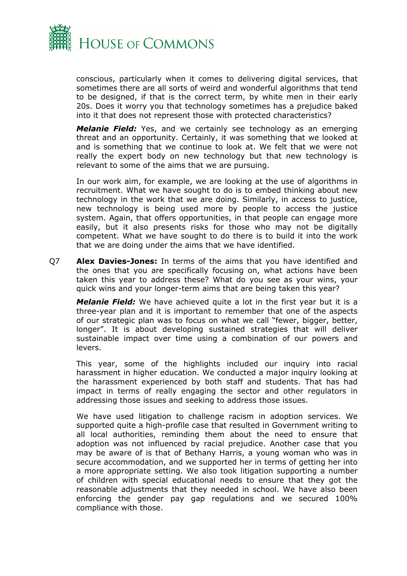

conscious, particularly when it comes to delivering digital services, that sometimes there are all sorts of weird and wonderful algorithms that tend to be designed, if that is the correct term, by white men in their early 20s. Does it worry you that technology sometimes has a prejudice baked into it that does not represent those with protected characteristics?

*Melanie Field:* Yes, and we certainly see technology as an emerging threat and an opportunity. Certainly, it was something that we looked at and is something that we continue to look at. We felt that we were not really the expert body on new technology but that new technology is relevant to some of the aims that we are pursuing.

In our work aim, for example, we are looking at the use of algorithms in recruitment. What we have sought to do is to embed thinking about new technology in the work that we are doing. Similarly, in access to justice, new technology is being used more by people to access the justice system. Again, that offers opportunities, in that people can engage more easily, but it also presents risks for those who may not be digitally competent. What we have sought to do there is to build it into the work that we are doing under the aims that we have identified.

Q7 **Alex Davies-Jones:** In terms of the aims that you have identified and the ones that you are specifically focusing on, what actions have been taken this year to address these? What do you see as your wins, your quick wins and your longer-term aims that are being taken this year?

*Melanie Field:* We have achieved quite a lot in the first year but it is a three-year plan and it is important to remember that one of the aspects of our strategic plan was to focus on what we call "fewer, bigger, better, longer". It is about developing sustained strategies that will deliver sustainable impact over time using a combination of our powers and levers.

This year, some of the highlights included our inquiry into racial harassment in higher education. We conducted a major inquiry looking at the harassment experienced by both staff and students. That has had impact in terms of really engaging the sector and other regulators in addressing those issues and seeking to address those issues.

We have used litigation to challenge racism in adoption services. We supported quite a high-profile case that resulted in Government writing to all local authorities, reminding them about the need to ensure that adoption was not influenced by racial prejudice. Another case that you may be aware of is that of Bethany Harris, a young woman who was in secure accommodation, and we supported her in terms of getting her into a more appropriate setting. We also took litigation supporting a number of children with special educational needs to ensure that they got the reasonable adjustments that they needed in school. We have also been enforcing the gender pay gap regulations and we secured 100% compliance with those.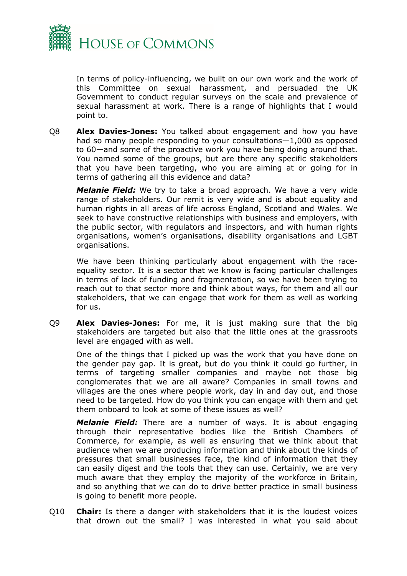

In terms of policy-influencing, we built on our own work and the work of this Committee on sexual harassment, and persuaded the UK Government to conduct regular surveys on the scale and prevalence of sexual harassment at work. There is a range of highlights that I would point to.

Q8 **Alex Davies-Jones:** You talked about engagement and how you have had so many people responding to your consultations—1,000 as opposed to 60—and some of the proactive work you have being doing around that. You named some of the groups, but are there any specific stakeholders that you have been targeting, who you are aiming at or going for in terms of gathering all this evidence and data?

*Melanie Field:* We try to take a broad approach. We have a very wide range of stakeholders. Our remit is very wide and is about equality and human rights in all areas of life across England, Scotland and Wales. We seek to have constructive relationships with business and employers, with the public sector, with regulators and inspectors, and with human rights organisations, women's organisations, disability organisations and LGBT organisations.

We have been thinking particularly about engagement with the raceequality sector. It is a sector that we know is facing particular challenges in terms of lack of funding and fragmentation, so we have been trying to reach out to that sector more and think about ways, for them and all our stakeholders, that we can engage that work for them as well as working for us.

Q9 **Alex Davies-Jones:** For me, it is just making sure that the big stakeholders are targeted but also that the little ones at the grassroots level are engaged with as well.

One of the things that I picked up was the work that you have done on the gender pay gap. It is great, but do you think it could go further, in terms of targeting smaller companies and maybe not those big conglomerates that we are all aware? Companies in small towns and villages are the ones where people work, day in and day out, and those need to be targeted. How do you think you can engage with them and get them onboard to look at some of these issues as well?

*Melanie Field:* There are a number of ways. It is about engaging through their representative bodies like the British Chambers of Commerce, for example, as well as ensuring that we think about that audience when we are producing information and think about the kinds of pressures that small businesses face, the kind of information that they can easily digest and the tools that they can use. Certainly, we are very much aware that they employ the majority of the workforce in Britain, and so anything that we can do to drive better practice in small business is going to benefit more people.

Q10 **Chair:** Is there a danger with stakeholders that it is the loudest voices that drown out the small? I was interested in what you said about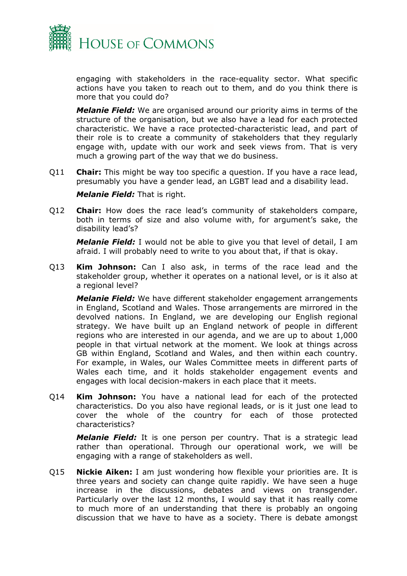

engaging with stakeholders in the race-equality sector. What specific actions have you taken to reach out to them, and do you think there is more that you could do?

*Melanie Field:* We are organised around our priority aims in terms of the structure of the organisation, but we also have a lead for each protected characteristic. We have a race protected-characteristic lead, and part of their role is to create a community of stakeholders that they regularly engage with, update with our work and seek views from. That is very much a growing part of the way that we do business.

Q11 **Chair:** This might be way too specific a question. If you have a race lead, presumably you have a gender lead, an LGBT lead and a disability lead.

*Melanie Field:* That is right.

Q12 **Chair:** How does the race lead's community of stakeholders compare, both in terms of size and also volume with, for argument's sake, the disability lead's?

*Melanie Field:* I would not be able to give you that level of detail, I am afraid. I will probably need to write to you about that, if that is okay.

Q13 **Kim Johnson:** Can I also ask, in terms of the race lead and the stakeholder group, whether it operates on a national level, or is it also at a regional level?

*Melanie Field:* We have different stakeholder engagement arrangements in England, Scotland and Wales. Those arrangements are mirrored in the devolved nations. In England, we are developing our English regional strategy. We have built up an England network of people in different regions who are interested in our agenda, and we are up to about 1,000 people in that virtual network at the moment. We look at things across GB within England, Scotland and Wales, and then within each country. For example, in Wales, our Wales Committee meets in different parts of Wales each time, and it holds stakeholder engagement events and engages with local decision-makers in each place that it meets.

Q14 **Kim Johnson:** You have a national lead for each of the protected characteristics. Do you also have regional leads, or is it just one lead to cover the whole of the country for each of those protected characteristics?

*Melanie Field:* It is one person per country. That is a strategic lead rather than operational. Through our operational work, we will be engaging with a range of stakeholders as well.

Q15 **Nickie Aiken:** I am just wondering how flexible your priorities are. It is three years and society can change quite rapidly. We have seen a huge increase in the discussions, debates and views on transgender. Particularly over the last 12 months, I would say that it has really come to much more of an understanding that there is probably an ongoing discussion that we have to have as a society. There is debate amongst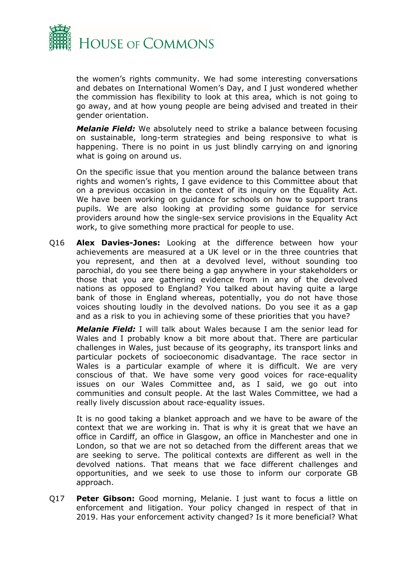

the women's rights community. We had some interesting conversations and debates on International Women's Day, and I just wondered whether the commission has flexibility to look at this area, which is not going to go away, and at how young people are being advised and treated in their gender orientation.

*Melanie Field:* We absolutely need to strike a balance between focusing on sustainable, long-term strategies and being responsive to what is happening. There is no point in us just blindly carrying on and ignoring what is going on around us.

On the specific issue that you mention around the balance between trans rights and women's rights, I gave evidence to this Committee about that on a previous occasion in the context of its inquiry on the Equality Act. We have been working on guidance for schools on how to support trans pupils. We are also looking at providing some guidance for service providers around how the single-sex service provisions in the Equality Act work, to give something more practical for people to use.

Q16 **Alex Davies-Jones:** Looking at the difference between how your achievements are measured at a UK level or in the three countries that you represent, and then at a devolved level, without sounding too parochial, do you see there being a gap anywhere in your stakeholders or those that you are gathering evidence from in any of the devolved nations as opposed to England? You talked about having quite a large bank of those in England whereas, potentially, you do not have those voices shouting loudly in the devolved nations. Do you see it as a gap and as a risk to you in achieving some of these priorities that you have?

*Melanie Field:* I will talk about Wales because I am the senior lead for Wales and I probably know a bit more about that. There are particular challenges in Wales, just because of its geography, its transport links and particular pockets of socioeconomic disadvantage. The race sector in Wales is a particular example of where it is difficult. We are very conscious of that. We have some very good voices for race-equality issues on our Wales Committee and, as I said, we go out into communities and consult people. At the last Wales Committee, we had a really lively discussion about race-equality issues.

It is no good taking a blanket approach and we have to be aware of the context that we are working in. That is why it is great that we have an office in Cardiff, an office in Glasgow, an office in Manchester and one in London, so that we are not so detached from the different areas that we are seeking to serve. The political contexts are different as well in the devolved nations. That means that we face different challenges and opportunities, and we seek to use those to inform our corporate GB approach.

Q17 **Peter Gibson:** Good morning, Melanie. I just want to focus a little on enforcement and litigation. Your policy changed in respect of that in 2019. Has your enforcement activity changed? Is it more beneficial? What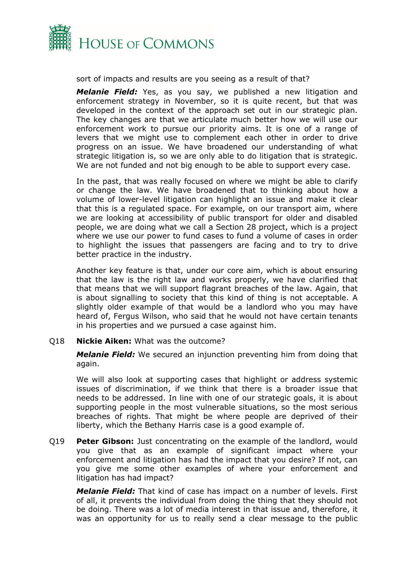

sort of impacts and results are you seeing as a result of that?

*Melanie Field:* Yes, as you say, we published a new litigation and enforcement strategy in November, so it is quite recent, but that was developed in the context of the approach set out in our strategic plan. The key changes are that we articulate much better how we will use our enforcement work to pursue our priority aims. It is one of a range of levers that we might use to complement each other in order to drive progress on an issue. We have broadened our understanding of what strategic litigation is, so we are only able to do litigation that is strategic. We are not funded and not big enough to be able to support every case.

In the past, that was really focused on where we might be able to clarify or change the law. We have broadened that to thinking about how a volume of lower-level litigation can highlight an issue and make it clear that this is a regulated space. For example, on our transport aim, where we are looking at accessibility of public transport for older and disabled people, we are doing what we call a Section 28 project, which is a project where we use our power to fund cases to fund a volume of cases in order to highlight the issues that passengers are facing and to try to drive better practice in the industry.

Another key feature is that, under our core aim, which is about ensuring that the law is the right law and works properly, we have clarified that that means that we will support flagrant breaches of the law. Again, that is about signalling to society that this kind of thing is not acceptable. A slightly older example of that would be a landlord who you may have heard of, Fergus Wilson, who said that he would not have certain tenants in his properties and we pursued a case against him.

#### Q18 **Nickie Aiken:** What was the outcome?

*Melanie Field:* We secured an injunction preventing him from doing that again.

We will also look at supporting cases that highlight or address systemic issues of discrimination, if we think that there is a broader issue that needs to be addressed. In line with one of our strategic goals, it is about supporting people in the most vulnerable situations, so the most serious breaches of rights. That might be where people are deprived of their liberty, which the Bethany Harris case is a good example of.

Q19 **Peter Gibson:** Just concentrating on the example of the landlord, would you give that as an example of significant impact where your enforcement and litigation has had the impact that you desire? If not, can you give me some other examples of where your enforcement and litigation has had impact?

*Melanie Field:* That kind of case has impact on a number of levels. First of all, it prevents the individual from doing the thing that they should not be doing. There was a lot of media interest in that issue and, therefore, it was an opportunity for us to really send a clear message to the public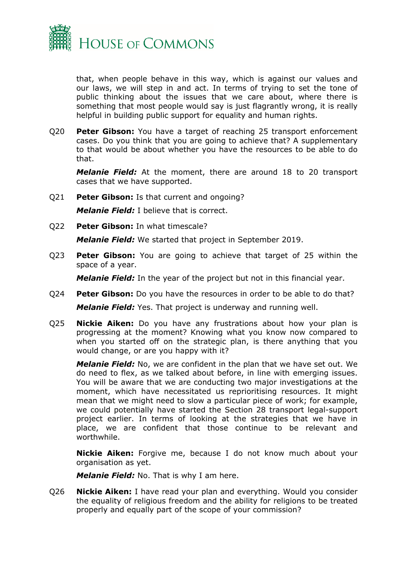

that, when people behave in this way, which is against our values and our laws, we will step in and act. In terms of trying to set the tone of public thinking about the issues that we care about, where there is something that most people would say is just flagrantly wrong, it is really helpful in building public support for equality and human rights.

Q20 **Peter Gibson:** You have a target of reaching 25 transport enforcement cases. Do you think that you are going to achieve that? A supplementary to that would be about whether you have the resources to be able to do that.

*Melanie Field:* At the moment, there are around 18 to 20 transport cases that we have supported.

Q21 **Peter Gibson:** Is that current and ongoing?

*Melanie Field:* I believe that is correct.

Q22 **Peter Gibson:** In what timescale?

*Melanie Field:* We started that project in September 2019.

Q23 **Peter Gibson:** You are going to achieve that target of 25 within the space of a year.

*Melanie Field:* In the year of the project but not in this financial year.

- Q24 **Peter Gibson:** Do you have the resources in order to be able to do that? *Melanie Field:* Yes. That project is underway and running well.
- Q25 **Nickie Aiken:** Do you have any frustrations about how your plan is progressing at the moment? Knowing what you know now compared to when you started off on the strategic plan, is there anything that you would change, or are you happy with it?

*Melanie Field:* No, we are confident in the plan that we have set out. We do need to flex, as we talked about before, in line with emerging issues. You will be aware that we are conducting two major investigations at the moment, which have necessitated us reprioritising resources. It might mean that we might need to slow a particular piece of work; for example, we could potentially have started the Section 28 transport legal-support project earlier. In terms of looking at the strategies that we have in place, we are confident that those continue to be relevant and worthwhile.

**Nickie Aiken:** Forgive me, because I do not know much about your organisation as yet.

*Melanie Field:* No. That is why I am here.

Q26 **Nickie Aiken:** I have read your plan and everything. Would you consider the equality of religious freedom and the ability for religions to be treated properly and equally part of the scope of your commission?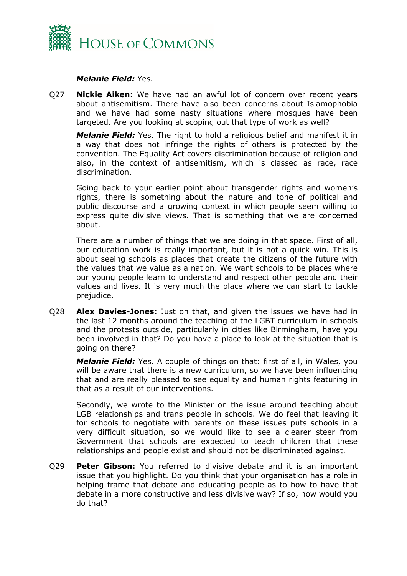

#### *Melanie Field:* Yes.

Q27 **Nickie Aiken:** We have had an awful lot of concern over recent years about antisemitism. There have also been concerns about Islamophobia and we have had some nasty situations where mosques have been targeted. Are you looking at scoping out that type of work as well?

*Melanie Field:* Yes. The right to hold a religious belief and manifest it in a way that does not infringe the rights of others is protected by the convention. The Equality Act covers discrimination because of religion and also, in the context of antisemitism, which is classed as race, race discrimination.

Going back to your earlier point about transgender rights and women's rights, there is something about the nature and tone of political and public discourse and a growing context in which people seem willing to express quite divisive views. That is something that we are concerned about.

There are a number of things that we are doing in that space. First of all, our education work is really important, but it is not a quick win. This is about seeing schools as places that create the citizens of the future with the values that we value as a nation. We want schools to be places where our young people learn to understand and respect other people and their values and lives. It is very much the place where we can start to tackle prejudice.

Q28 **Alex Davies-Jones:** Just on that, and given the issues we have had in the last 12 months around the teaching of the LGBT curriculum in schools and the protests outside, particularly in cities like Birmingham, have you been involved in that? Do you have a place to look at the situation that is going on there?

*Melanie Field:* Yes. A couple of things on that: first of all, in Wales, you will be aware that there is a new curriculum, so we have been influencing that and are really pleased to see equality and human rights featuring in that as a result of our interventions.

Secondly, we wrote to the Minister on the issue around teaching about LGB relationships and trans people in schools. We do feel that leaving it for schools to negotiate with parents on these issues puts schools in a very difficult situation, so we would like to see a clearer steer from Government that schools are expected to teach children that these relationships and people exist and should not be discriminated against.

Q29 **Peter Gibson:** You referred to divisive debate and it is an important issue that you highlight. Do you think that your organisation has a role in helping frame that debate and educating people as to how to have that debate in a more constructive and less divisive way? If so, how would you do that?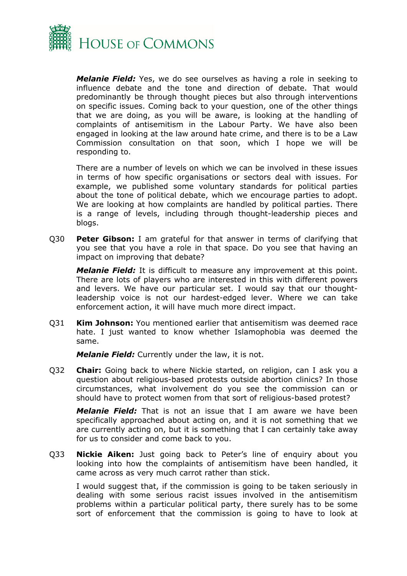

*Melanie Field:* Yes, we do see ourselves as having a role in seeking to influence debate and the tone and direction of debate. That would predominantly be through thought pieces but also through interventions on specific issues. Coming back to your question, one of the other things that we are doing, as you will be aware, is looking at the handling of complaints of antisemitism in the Labour Party. We have also been engaged in looking at the law around hate crime, and there is to be a Law Commission consultation on that soon, which I hope we will be responding to.

There are a number of levels on which we can be involved in these issues in terms of how specific organisations or sectors deal with issues. For example, we published some voluntary standards for political parties about the tone of political debate, which we encourage parties to adopt. We are looking at how complaints are handled by political parties. There is a range of levels, including through thought-leadership pieces and blogs.

Q30 **Peter Gibson:** I am grateful for that answer in terms of clarifying that you see that you have a role in that space. Do you see that having an impact on improving that debate?

*Melanie Field:* It is difficult to measure any improvement at this point. There are lots of players who are interested in this with different powers and levers. We have our particular set. I would say that our thoughtleadership voice is not our hardest-edged lever. Where we can take enforcement action, it will have much more direct impact.

Q31 **Kim Johnson:** You mentioned earlier that antisemitism was deemed race hate. I just wanted to know whether Islamophobia was deemed the same.

*Melanie Field:* Currently under the law, it is not.

Q32 **Chair:** Going back to where Nickie started, on religion, can I ask you a question about religious-based protests outside abortion clinics? In those circumstances, what involvement do you see the commission can or should have to protect women from that sort of religious-based protest?

*Melanie Field:* That is not an issue that I am aware we have been specifically approached about acting on, and it is not something that we are currently acting on, but it is something that I can certainly take away for us to consider and come back to you.

Q33 **Nickie Aiken:** Just going back to Peter's line of enquiry about you looking into how the complaints of antisemitism have been handled, it came across as very much carrot rather than stick.

I would suggest that, if the commission is going to be taken seriously in dealing with some serious racist issues involved in the antisemitism problems within a particular political party, there surely has to be some sort of enforcement that the commission is going to have to look at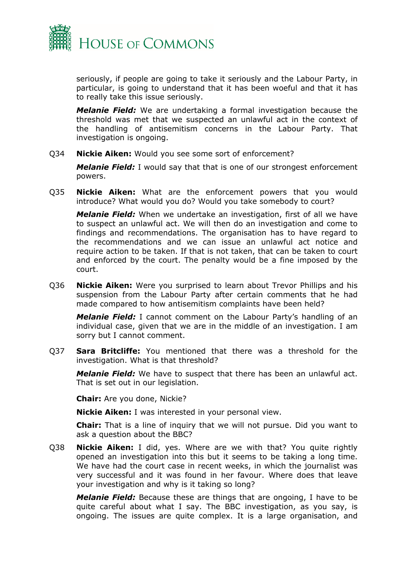

seriously, if people are going to take it seriously and the Labour Party, in particular, is going to understand that it has been woeful and that it has to really take this issue seriously.

*Melanie Field:* We are undertaking a formal investigation because the threshold was met that we suspected an unlawful act in the context of the handling of antisemitism concerns in the Labour Party. That investigation is ongoing.

Q34 **Nickie Aiken:** Would you see some sort of enforcement?

*Melanie Field:* I would say that that is one of our strongest enforcement powers.

Q35 **Nickie Aiken:** What are the enforcement powers that you would introduce? What would you do? Would you take somebody to court?

*Melanie Field:* When we undertake an investigation, first of all we have to suspect an unlawful act. We will then do an investigation and come to findings and recommendations. The organisation has to have regard to the recommendations and we can issue an unlawful act notice and require action to be taken. If that is not taken, that can be taken to court and enforced by the court. The penalty would be a fine imposed by the court.

Q36 **Nickie Aiken:** Were you surprised to learn about Trevor Phillips and his suspension from the Labour Party after certain comments that he had made compared to how antisemitism complaints have been held?

*Melanie Field:* I cannot comment on the Labour Party's handling of an individual case, given that we are in the middle of an investigation. I am sorry but I cannot comment.

Q37 **Sara Britcliffe:** You mentioned that there was a threshold for the investigation. What is that threshold?

*Melanie Field:* We have to suspect that there has been an unlawful act. That is set out in our legislation.

**Chair:** Are you done, Nickie?

**Nickie Aiken:** I was interested in your personal view.

**Chair:** That is a line of inquiry that we will not pursue. Did you want to ask a question about the BBC?

Q38 **Nickie Aiken:** I did, yes. Where are we with that? You quite rightly opened an investigation into this but it seems to be taking a long time. We have had the court case in recent weeks, in which the journalist was very successful and it was found in her favour. Where does that leave your investigation and why is it taking so long?

*Melanie Field:* Because these are things that are ongoing, I have to be quite careful about what I say. The BBC investigation, as you say, is ongoing. The issues are quite complex. It is a large organisation, and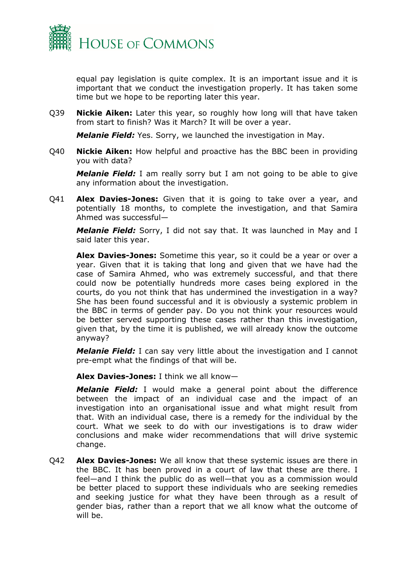

equal pay legislation is quite complex. It is an important issue and it is important that we conduct the investigation properly. It has taken some time but we hope to be reporting later this year.

Q39 **Nickie Aiken:** Later this year, so roughly how long will that have taken from start to finish? Was it March? It will be over a year.

*Melanie Field:* Yes. Sorry, we launched the investigation in May.

Q40 **Nickie Aiken:** How helpful and proactive has the BBC been in providing you with data?

*Melanie Field:* I am really sorry but I am not going to be able to give any information about the investigation.

Q41 **Alex Davies-Jones:** Given that it is going to take over a year, and potentially 18 months, to complete the investigation, and that Samira Ahmed was successful—

*Melanie Field:* Sorry, I did not say that. It was launched in May and I said later this year.

**Alex Davies-Jones:** Sometime this year, so it could be a year or over a year. Given that it is taking that long and given that we have had the case of Samira Ahmed, who was extremely successful, and that there could now be potentially hundreds more cases being explored in the courts, do you not think that has undermined the investigation in a way? She has been found successful and it is obviously a systemic problem in the BBC in terms of gender pay. Do you not think your resources would be better served supporting these cases rather than this investigation, given that, by the time it is published, we will already know the outcome anyway?

*Melanie Field:* I can say very little about the investigation and I cannot pre-empt what the findings of that will be.

**Alex Davies-Jones:** I think we all know—

*Melanie Field:* I would make a general point about the difference between the impact of an individual case and the impact of an investigation into an organisational issue and what might result from that. With an individual case, there is a remedy for the individual by the court. What we seek to do with our investigations is to draw wider conclusions and make wider recommendations that will drive systemic change.

Q42 **Alex Davies-Jones:** We all know that these systemic issues are there in the BBC. It has been proved in a court of law that these are there. I feel—and I think the public do as well—that you as a commission would be better placed to support these individuals who are seeking remedies and seeking justice for what they have been through as a result of gender bias, rather than a report that we all know what the outcome of will be.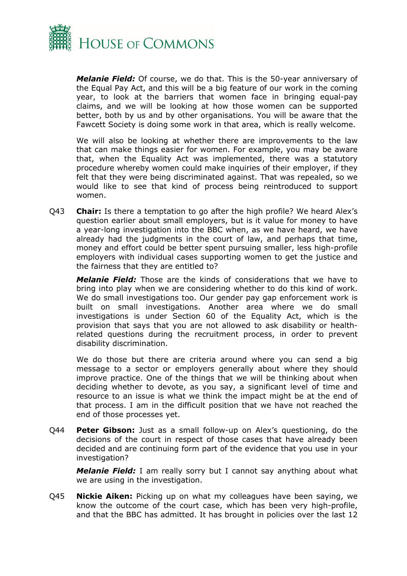

*Melanie Field:* Of course, we do that. This is the 50-year anniversary of the Equal Pay Act, and this will be a big feature of our work in the coming year, to look at the barriers that women face in bringing equal-pay claims, and we will be looking at how those women can be supported better, both by us and by other organisations. You will be aware that the Fawcett Society is doing some work in that area, which is really welcome.

We will also be looking at whether there are improvements to the law that can make things easier for women. For example, you may be aware that, when the Equality Act was implemented, there was a statutory procedure whereby women could make inquiries of their employer, if they felt that they were being discriminated against. That was repealed, so we would like to see that kind of process being reintroduced to support women.

Q43 **Chair:** Is there a temptation to go after the high profile? We heard Alex's question earlier about small employers, but is it value for money to have a year-long investigation into the BBC when, as we have heard, we have already had the judgments in the court of law, and perhaps that time, money and effort could be better spent pursuing smaller, less high-profile employers with individual cases supporting women to get the justice and the fairness that they are entitled to?

*Melanie Field:* Those are the kinds of considerations that we have to bring into play when we are considering whether to do this kind of work. We do small investigations too. Our gender pay gap enforcement work is built on small investigations. Another area where we do small investigations is under Section 60 of the Equality Act, which is the provision that says that you are not allowed to ask disability or healthrelated questions during the recruitment process, in order to prevent disability discrimination.

We do those but there are criteria around where you can send a big message to a sector or employers generally about where they should improve practice. One of the things that we will be thinking about when deciding whether to devote, as you say, a significant level of time and resource to an issue is what we think the impact might be at the end of that process. I am in the difficult position that we have not reached the end of those processes yet.

Q44 **Peter Gibson:** Just as a small follow-up on Alex's questioning, do the decisions of the court in respect of those cases that have already been decided and are continuing form part of the evidence that you use in your investigation?

*Melanie Field:* I am really sorry but I cannot say anything about what we are using in the investigation.

Q45 **Nickie Aiken:** Picking up on what my colleagues have been saying, we know the outcome of the court case, which has been very high-profile, and that the BBC has admitted. It has brought in policies over the last 12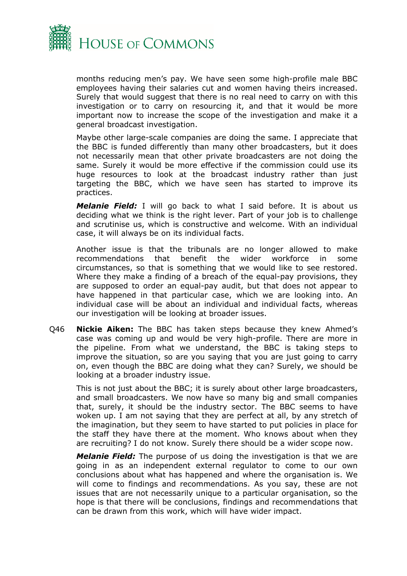

months reducing men's pay. We have seen some high-profile male BBC employees having their salaries cut and women having theirs increased. Surely that would suggest that there is no real need to carry on with this investigation or to carry on resourcing it, and that it would be more important now to increase the scope of the investigation and make it a general broadcast investigation.

Maybe other large-scale companies are doing the same. I appreciate that the BBC is funded differently than many other broadcasters, but it does not necessarily mean that other private broadcasters are not doing the same. Surely it would be more effective if the commission could use its huge resources to look at the broadcast industry rather than just targeting the BBC, which we have seen has started to improve its practices.

*Melanie Field:* I will go back to what I said before. It is about us deciding what we think is the right lever. Part of your job is to challenge and scrutinise us, which is constructive and welcome. With an individual case, it will always be on its individual facts.

Another issue is that the tribunals are no longer allowed to make recommendations that benefit the wider workforce in some circumstances, so that is something that we would like to see restored. Where they make a finding of a breach of the equal-pay provisions, they are supposed to order an equal-pay audit, but that does not appear to have happened in that particular case, which we are looking into. An individual case will be about an individual and individual facts, whereas our investigation will be looking at broader issues.

Q46 **Nickie Aiken:** The BBC has taken steps because they knew Ahmed's case was coming up and would be very high-profile. There are more in the pipeline. From what we understand, the BBC is taking steps to improve the situation, so are you saying that you are just going to carry on, even though the BBC are doing what they can? Surely, we should be looking at a broader industry issue.

This is not just about the BBC; it is surely about other large broadcasters, and small broadcasters. We now have so many big and small companies that, surely, it should be the industry sector. The BBC seems to have woken up. I am not saying that they are perfect at all, by any stretch of the imagination, but they seem to have started to put policies in place for the staff they have there at the moment. Who knows about when they are recruiting? I do not know. Surely there should be a wider scope now.

*Melanie Field:* The purpose of us doing the investigation is that we are going in as an independent external regulator to come to our own conclusions about what has happened and where the organisation is. We will come to findings and recommendations. As you say, these are not issues that are not necessarily unique to a particular organisation, so the hope is that there will be conclusions, findings and recommendations that can be drawn from this work, which will have wider impact.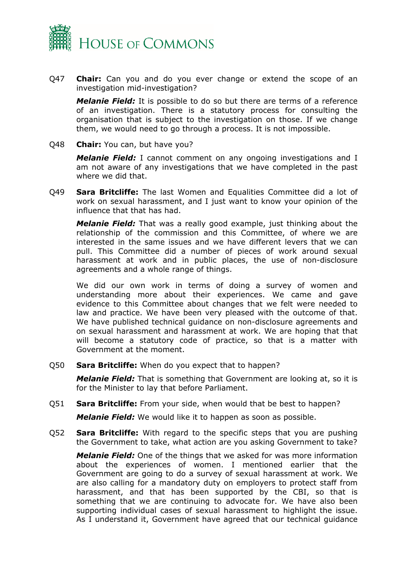

Q47 **Chair:** Can you and do you ever change or extend the scope of an investigation mid-investigation?

*Melanie Field:* It is possible to do so but there are terms of a reference of an investigation. There is a statutory process for consulting the organisation that is subject to the investigation on those. If we change them, we would need to go through a process. It is not impossible.

Q48 **Chair:** You can, but have you?

*Melanie Field:* I cannot comment on any ongoing investigations and I am not aware of any investigations that we have completed in the past where we did that.

Q49 **Sara Britcliffe:** The last Women and Equalities Committee did a lot of work on sexual harassment, and I just want to know your opinion of the influence that that has had.

*Melanie Field:* That was a really good example, just thinking about the relationship of the commission and this Committee, of where we are interested in the same issues and we have different levers that we can pull. This Committee did a number of pieces of work around sexual harassment at work and in public places, the use of non-disclosure agreements and a whole range of things.

We did our own work in terms of doing a survey of women and understanding more about their experiences. We came and gave evidence to this Committee about changes that we felt were needed to law and practice. We have been very pleased with the outcome of that. We have published technical guidance on non-disclosure agreements and on sexual harassment and harassment at work. We are hoping that that will become a statutory code of practice, so that is a matter with Government at the moment.

Q50 **Sara Britcliffe:** When do you expect that to happen?

*Melanie Field:* That is something that Government are looking at, so it is for the Minister to lay that before Parliament.

Q51 **Sara Britcliffe:** From your side, when would that be best to happen?

*Melanie Field:* We would like it to happen as soon as possible.

Q52 **Sara Britcliffe:** With regard to the specific steps that you are pushing the Government to take, what action are you asking Government to take?

*Melanie Field:* One of the things that we asked for was more information about the experiences of women. I mentioned earlier that the Government are going to do a survey of sexual harassment at work. We are also calling for a mandatory duty on employers to protect staff from harassment, and that has been supported by the CBI, so that is something that we are continuing to advocate for. We have also been supporting individual cases of sexual harassment to highlight the issue. As I understand it, Government have agreed that our technical guidance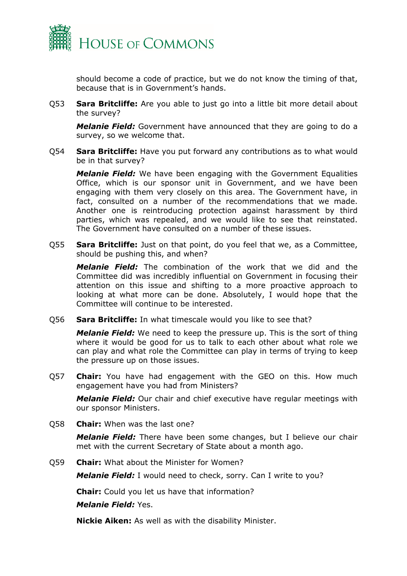

should become a code of practice, but we do not know the timing of that, because that is in Government's hands.

Q53 **Sara Britcliffe:** Are you able to just go into a little bit more detail about the survey?

*Melanie Field:* Government have announced that they are going to do a survey, so we welcome that.

Q54 **Sara Britcliffe:** Have you put forward any contributions as to what would be in that survey?

*Melanie Field:* We have been engaging with the Government Equalities Office, which is our sponsor unit in Government, and we have been engaging with them very closely on this area. The Government have, in fact, consulted on a number of the recommendations that we made. Another one is reintroducing protection against harassment by third parties, which was repealed, and we would like to see that reinstated. The Government have consulted on a number of these issues.

Q55 **Sara Britcliffe:** Just on that point, do you feel that we, as a Committee, should be pushing this, and when?

*Melanie Field:* The combination of the work that we did and the Committee did was incredibly influential on Government in focusing their attention on this issue and shifting to a more proactive approach to looking at what more can be done. Absolutely, I would hope that the Committee will continue to be interested.

Q56 **Sara Britcliffe:** In what timescale would you like to see that?

*Melanie Field:* We need to keep the pressure up. This is the sort of thing where it would be good for us to talk to each other about what role we can play and what role the Committee can play in terms of trying to keep the pressure up on those issues.

Q57 **Chair:** You have had engagement with the GEO on this. How much engagement have you had from Ministers?

*Melanie Field:* Our chair and chief executive have regular meetings with our sponsor Ministers.

Q58 **Chair:** When was the last one?

*Melanie Field:* There have been some changes, but I believe our chair met with the current Secretary of State about a month ago.

Q59 **Chair:** What about the Minister for Women?

*Melanie Field:* I would need to check, sorry. Can I write to you?

**Chair:** Could you let us have that information?

*Melanie Field:* Yes.

**Nickie Aiken:** As well as with the disability Minister.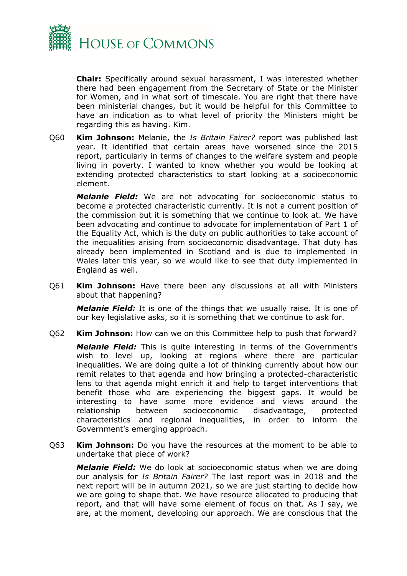

**Chair:** Specifically around sexual harassment, I was interested whether there had been engagement from the Secretary of State or the Minister for Women, and in what sort of timescale. You are right that there have been ministerial changes, but it would be helpful for this Committee to have an indication as to what level of priority the Ministers might be regarding this as having. Kim.

Q60 **Kim Johnson:** Melanie, the *Is Britain Fairer?* report was published last year. It identified that certain areas have worsened since the 2015 report, particularly in terms of changes to the welfare system and people living in poverty. I wanted to know whether you would be looking at extending protected characteristics to start looking at a socioeconomic element.

*Melanie Field:* We are not advocating for socioeconomic status to become a protected characteristic currently. It is not a current position of the commission but it is something that we continue to look at. We have been advocating and continue to advocate for implementation of Part 1 of the Equality Act, which is the duty on public authorities to take account of the inequalities arising from socioeconomic disadvantage. That duty has already been implemented in Scotland and is due to implemented in Wales later this year, so we would like to see that duty implemented in England as well.

Q61 **Kim Johnson:** Have there been any discussions at all with Ministers about that happening?

*Melanie Field:* It is one of the things that we usually raise. It is one of our key legislative asks, so it is something that we continue to ask for.

Q62 **Kim Johnson:** How can we on this Committee help to push that forward?

*Melanie Field:* This is quite interesting in terms of the Government's wish to level up, looking at regions where there are particular inequalities. We are doing quite a lot of thinking currently about how our remit relates to that agenda and how bringing a protected-characteristic lens to that agenda might enrich it and help to target interventions that benefit those who are experiencing the biggest gaps. It would be interesting to have some more evidence and views around the relationship between socioeconomic disadvantage, protected characteristics and regional inequalities, in order to inform the Government's emerging approach.

Q63 **Kim Johnson:** Do you have the resources at the moment to be able to undertake that piece of work?

*Melanie Field:* We do look at socioeconomic status when we are doing our analysis for *Is Britain Fairer?* The last report was in 2018 and the next report will be in autumn 2021, so we are just starting to decide how we are going to shape that. We have resource allocated to producing that report, and that will have some element of focus on that. As I say, we are, at the moment, developing our approach. We are conscious that the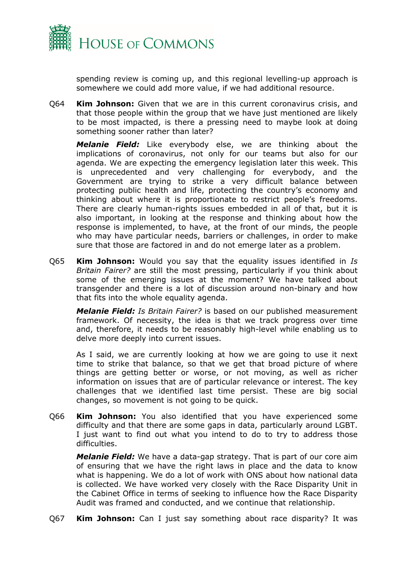

spending review is coming up, and this regional levelling-up approach is somewhere we could add more value, if we had additional resource.

Q64 **Kim Johnson:** Given that we are in this current coronavirus crisis, and that those people within the group that we have just mentioned are likely to be most impacted, is there a pressing need to maybe look at doing something sooner rather than later?

*Melanie Field:* Like everybody else, we are thinking about the implications of coronavirus, not only for our teams but also for our agenda. We are expecting the emergency legislation later this week. This is unprecedented and very challenging for everybody, and the Government are trying to strike a very difficult balance between protecting public health and life, protecting the country's economy and thinking about where it is proportionate to restrict people's freedoms. There are clearly human-rights issues embedded in all of that, but it is also important, in looking at the response and thinking about how the response is implemented, to have, at the front of our minds, the people who may have particular needs, barriers or challenges, in order to make sure that those are factored in and do not emerge later as a problem.

Q65 **Kim Johnson:** Would you say that the equality issues identified in *Is Britain Fairer?* are still the most pressing, particularly if you think about some of the emerging issues at the moment? We have talked about transgender and there is a lot of discussion around non-binary and how that fits into the whole equality agenda.

*Melanie Field: Is Britain Fairer?* is based on our published measurement framework. Of necessity, the idea is that we track progress over time and, therefore, it needs to be reasonably high-level while enabling us to delve more deeply into current issues.

As I said, we are currently looking at how we are going to use it next time to strike that balance, so that we get that broad picture of where things are getting better or worse, or not moving, as well as richer information on issues that are of particular relevance or interest. The key challenges that we identified last time persist. These are big social changes, so movement is not going to be quick.

Q66 **Kim Johnson:** You also identified that you have experienced some difficulty and that there are some gaps in data, particularly around LGBT. I just want to find out what you intend to do to try to address those difficulties.

*Melanie Field:* We have a data-gap strategy. That is part of our core aim of ensuring that we have the right laws in place and the data to know what is happening. We do a lot of work with ONS about how national data is collected. We have worked very closely with the Race Disparity Unit in the Cabinet Office in terms of seeking to influence how the Race Disparity Audit was framed and conducted, and we continue that relationship.

Q67 **Kim Johnson:** Can I just say something about race disparity? It was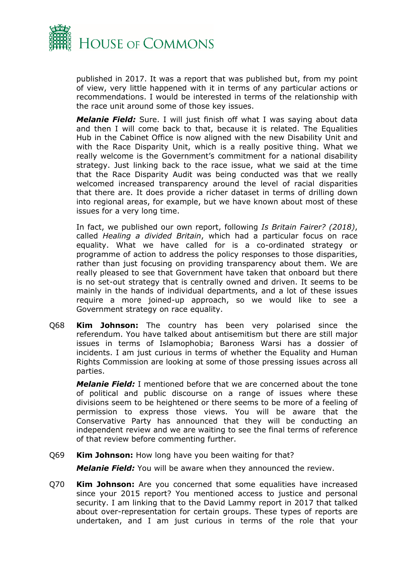

published in 2017. It was a report that was published but, from my point of view, very little happened with it in terms of any particular actions or recommendations. I would be interested in terms of the relationship with the race unit around some of those key issues.

*Melanie Field:* Sure. I will just finish off what I was saying about data and then I will come back to that, because it is related. The Equalities Hub in the Cabinet Office is now aligned with the new Disability Unit and with the Race Disparity Unit, which is a really positive thing. What we really welcome is the Government's commitment for a national disability strategy. Just linking back to the race issue, what we said at the time that the Race Disparity Audit was being conducted was that we really welcomed increased transparency around the level of racial disparities that there are. It does provide a richer dataset in terms of drilling down into regional areas, for example, but we have known about most of these issues for a very long time.

In fact, we published our own report, following *Is Britain Fairer? (2018)*, called *Healing a divided Britain*, which had a particular focus on race equality. What we have called for is a co-ordinated strategy or programme of action to address the policy responses to those disparities, rather than just focusing on providing transparency about them. We are really pleased to see that Government have taken that onboard but there is no set-out strategy that is centrally owned and driven. It seems to be mainly in the hands of individual departments, and a lot of these issues require a more joined-up approach, so we would like to see a Government strategy on race equality.

Q68 **Kim Johnson:** The country has been very polarised since the referendum. You have talked about antisemitism but there are still major issues in terms of Islamophobia; Baroness Warsi has a dossier of incidents. I am just curious in terms of whether the Equality and Human Rights Commission are looking at some of those pressing issues across all parties.

*Melanie Field:* I mentioned before that we are concerned about the tone of political and public discourse on a range of issues where these divisions seem to be heightened or there seems to be more of a feeling of permission to express those views. You will be aware that the Conservative Party has announced that they will be conducting an independent review and we are waiting to see the final terms of reference of that review before commenting further.

Q69 **Kim Johnson:** How long have you been waiting for that?

*Melanie Field:* You will be aware when they announced the review.

Q70 **Kim Johnson:** Are you concerned that some equalities have increased since your 2015 report? You mentioned access to justice and personal security. I am linking that to the David Lammy report in 2017 that talked about over-representation for certain groups. These types of reports are undertaken, and I am just curious in terms of the role that your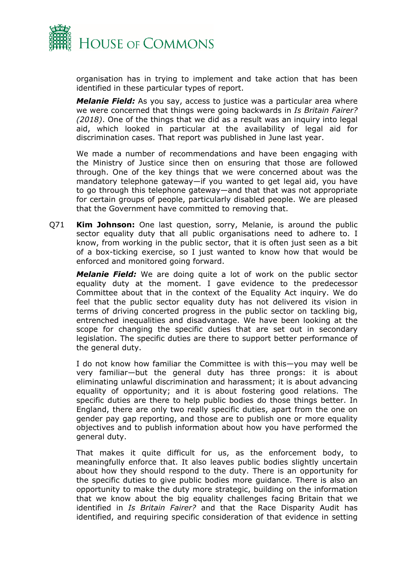

organisation has in trying to implement and take action that has been identified in these particular types of report.

*Melanie Field:* As you say, access to justice was a particular area where we were concerned that things were going backwards in *Is Britain Fairer? (2018)*. One of the things that we did as a result was an inquiry into legal aid, which looked in particular at the availability of legal aid for discrimination cases. That report was published in June last year.

We made a number of recommendations and have been engaging with the Ministry of Justice since then on ensuring that those are followed through. One of the key things that we were concerned about was the mandatory telephone gateway—if you wanted to get legal aid, you have to go through this telephone gateway—and that that was not appropriate for certain groups of people, particularly disabled people. We are pleased that the Government have committed to removing that.

Q71 **Kim Johnson:** One last question, sorry, Melanie, is around the public sector equality duty that all public organisations need to adhere to. I know, from working in the public sector, that it is often just seen as a bit of a box-ticking exercise, so I just wanted to know how that would be enforced and monitored going forward.

*Melanie Field:* We are doing quite a lot of work on the public sector equality duty at the moment. I gave evidence to the predecessor Committee about that in the context of the Equality Act inquiry. We do feel that the public sector equality duty has not delivered its vision in terms of driving concerted progress in the public sector on tackling big, entrenched inequalities and disadvantage. We have been looking at the scope for changing the specific duties that are set out in secondary legislation. The specific duties are there to support better performance of the general duty.

I do not know how familiar the Committee is with this—you may well be very familiar—but the general duty has three prongs: it is about eliminating unlawful discrimination and harassment; it is about advancing equality of opportunity; and it is about fostering good relations. The specific duties are there to help public bodies do those things better. In England, there are only two really specific duties, apart from the one on gender pay gap reporting, and those are to publish one or more equality objectives and to publish information about how you have performed the general duty.

That makes it quite difficult for us, as the enforcement body, to meaningfully enforce that. It also leaves public bodies slightly uncertain about how they should respond to the duty. There is an opportunity for the specific duties to give public bodies more guidance. There is also an opportunity to make the duty more strategic, building on the information that we know about the big equality challenges facing Britain that we identified in *Is Britain Fairer?* and that the Race Disparity Audit has identified, and requiring specific consideration of that evidence in setting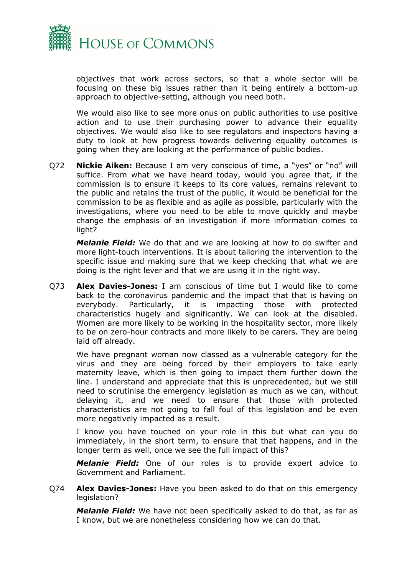

objectives that work across sectors, so that a whole sector will be focusing on these big issues rather than it being entirely a bottom-up approach to objective-setting, although you need both.

We would also like to see more onus on public authorities to use positive action and to use their purchasing power to advance their equality objectives. We would also like to see regulators and inspectors having a duty to look at how progress towards delivering equality outcomes is going when they are looking at the performance of public bodies.

Q72 **Nickie Aiken:** Because I am very conscious of time, a "yes" or "no" will suffice. From what we have heard today, would you agree that, if the commission is to ensure it keeps to its core values, remains relevant to the public and retains the trust of the public, it would be beneficial for the commission to be as flexible and as agile as possible, particularly with the investigations, where you need to be able to move quickly and maybe change the emphasis of an investigation if more information comes to light?

*Melanie Field:* We do that and we are looking at how to do swifter and more light-touch interventions. It is about tailoring the intervention to the specific issue and making sure that we keep checking that what we are doing is the right lever and that we are using it in the right way.

Q73 **Alex Davies-Jones:** I am conscious of time but I would like to come back to the coronavirus pandemic and the impact that that is having on everybody. Particularly, it is impacting those with protected characteristics hugely and significantly. We can look at the disabled. Women are more likely to be working in the hospitality sector, more likely to be on zero-hour contracts and more likely to be carers. They are being laid off already.

We have pregnant woman now classed as a vulnerable category for the virus and they are being forced by their employers to take early maternity leave, which is then going to impact them further down the line. I understand and appreciate that this is unprecedented, but we still need to scrutinise the emergency legislation as much as we can, without delaying it, and we need to ensure that those with protected characteristics are not going to fall foul of this legislation and be even more negatively impacted as a result.

I know you have touched on your role in this but what can you do immediately, in the short term, to ensure that that happens, and in the longer term as well, once we see the full impact of this?

*Melanie Field:* One of our roles is to provide expert advice to Government and Parliament.

Q74 **Alex Davies-Jones:** Have you been asked to do that on this emergency legislation?

*Melanie Field:* We have not been specifically asked to do that, as far as I know, but we are nonetheless considering how we can do that.